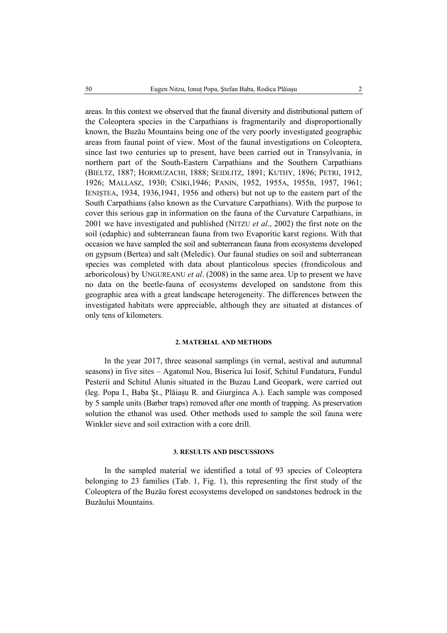areas. In this context we observed that the faunal diversity and distributional pattern of the Coleoptera species in the Carpathians is fragmentarily and disproportionally known, the Buzău Mountains being one of the very poorly investigated geographic areas from faunal point of view. Most of the faunal investigations on Coleoptera, since last two centuries up to present, have been carried out in Transylvania, in northern part of the South-Eastern Carpathians and the Southern Carpathians (BIELTZ, 1887; HORMUZACHI, 1888; SEIDLITZ, 1891; KUTHY, 1896; PETRI, 1912, 1926; MALLASZ, 1930; CSIKI,1946; PANIN, 1952, 1955A, 1955B, 1957, 1961; IENIŞTEA, 1934, 1936,1941, 1956 and others) but not up to the eastern part of the South Carpathians (also known as the Curvature Carpathians). With the purpose to cover this serious gap in information on the fauna of the Curvature Carpathians, in 2001 we have investigated and published (NITZU *et al*., 2002) the first note on the soil (edaphic) and subterranean fauna from two Evaporitic karst regions. With that occasion we have sampled the soil and subterranean fauna from ecosystems developed on gypsum (Bertea) and salt (Meledic). Our faunal studies on soil and subterranean species was completed with data about planticolous species (frondicolous and arboricolous) by UNGUREANU *et al*. (2008) in the same area. Up to present we have no data on the beetle-fauna of ecosystems developed on sandstone from this geographic area with a great landscape heterogeneity. The differences between the investigated habitats were appreciable, although they are situated at distances of only tens of kilometers.

## **2. MATERIAL AND METHODS**

In the year 2017, three seasonal samplings (in vernal, aestival and autumnal seasons) in five sites – Agatonul Nou, Biserica lui Iosif, Schitul Fundatura, Fundul Pesterii and Schitul Alunis situated in the Buzau Land Geopark, were carried out (leg. Popa I., Baba Şt., Plăiaşu R. and Giurginca A.). Each sample was composed by 5 sample units (Barber traps) removed after one month of trapping. As preservation solution the ethanol was used. Other methods used to sample the soil fauna were Winkler sieve and soil extraction with a core drill.

## **3. RESULTS AND DISCUSSIONS**

In the sampled material we identified a total of 93 species of Coleoptera belonging to 23 families (Tab. 1, Fig. 1), this representing the first study of the Coleoptera of the Buzău forest ecosystems developed on sandstones bedrock in the Buzăului Mountains.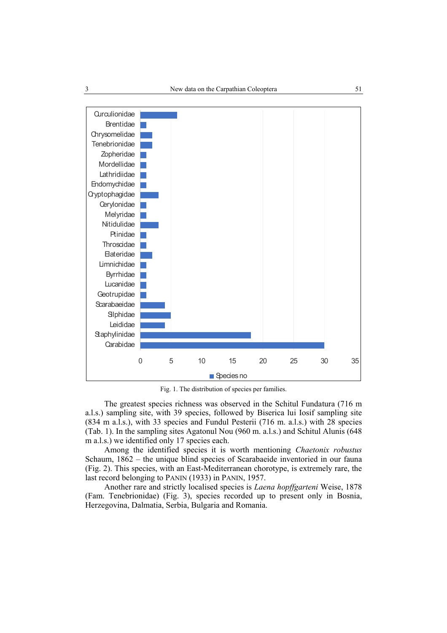

Fig. 1. The distribution of species per families.

The greatest species richness was observed in the Schitul Fundatura (716 m a.l.s.) sampling site, with 39 species, followed by Biserica lui Iosif sampling site (834 m a.l.s.), with 33 species and Fundul Pesterii (716 m. a.l.s.) with 28 species (Tab. 1). In the sampling sites Agatonul Nou (960 m. a.l.s.) and Schitul Alunis (648 m a.l.s.) we identified only 17 species each.

Among the identified species it is worth mentioning *Chaetonix robustus*  Schaum, 1862 – the unique blind species of Scarabaeide inventoried in our fauna (Fig. 2). This species, with an East-Mediterranean chorotype, is extremely rare, the last record belonging to PANIN (1933) in PANIN, 1957.

Another rare and strictly localised species is *Laena hopffgarteni* Weise, 1878 (Fam. Tenebrionidae) (Fig. 3), species recorded up to present only in Bosnia, Herzegovina, Dalmatia, Serbia, Bulgaria and Romania.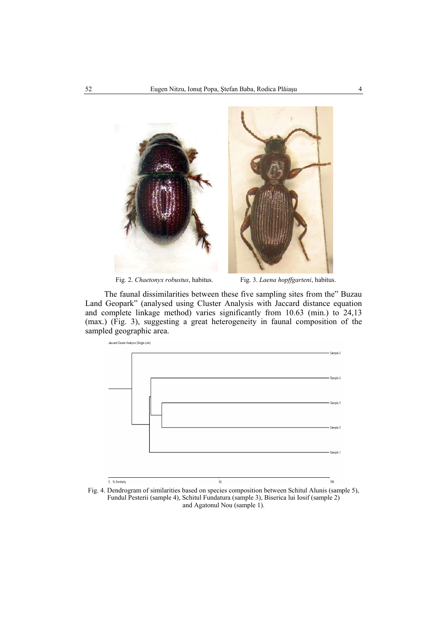

Fig. 2. *Chaetonyx robustus*, habitus. Fig. 3. *Laena hopffgarteni*, habitus.

The faunal dissimilarities between these five sampling sites from the" Buzau Land Geopark" (analysed using Cluster Analysis with Jaccard distance equation and complete linkage method) varies significantly from 10.63 (min.) to 24,13 (max.) (Fig. 3), suggesting a great heterogeneity in faunal composition of the sampled geographic area.



Fig. 4. Dendrogram of similarities based on species composition between Schitul Alunis (sample 5), Fundul Pesterii (sample 4), Schitul Fundatura (sample 3), Biserica lui Iosif (sample 2) and Agatonul Nou (sample 1).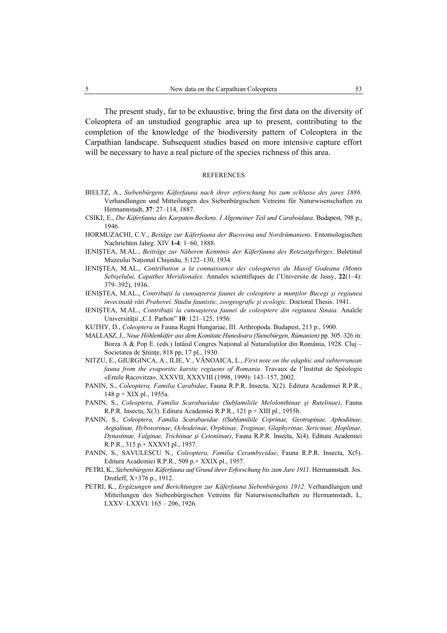The present study, far to be exhaustive, bring the first data on the diversity of Coleoptera of an unstudied geographic area up to present, contributing to the completion of the knowledge of the biodiversity pattern of Coleoptera in the Carpathian landscape. Subsequent studies based on more intensive capture effort will be necessary to have a real picture of the species richness of this area.

## **REFERENCES**

- BIELTZ, A., *Siebenbürgens Käferfauna nach ihrer erforschung bis zum schlusse des jares 1886*. Verhandlungen und Mitteilungen des Siebenbürgischen Vetreins für Naturwisenschaften zu Hermannstadt, **37**: 27–114, 1887.
- CSIKI, E., *Die Käferfauna des Karpaten-Beckens. I Algemeiner Teil und Caraboidaea*. Budapest, 798 p., 1946.
- HORMUZACHI, C.V., *Beitäge zur Käferfauna der Bucovina und Nordrümaniens*. Entomologischen Nachrichten Jahrg. XIV **1-4**: 1–60, 1888.
- IENIŞTEA, M.AL., *Beiträge zur Näheren Kenntnis der Käferfauna des Retezatgebirges*. Buletinul Muzeului National Chisinău, 5:122-130, 1934.
- IENIŞTEA, M.AL., *Contribution a la connaissance des coleopteres du Massif Godeanu (Monts Sebişelului, Capathes Meridionales*. Annales scientifiques de l'Universite de Jassy, **22**(1–4): 379–392), 1936.
- IENIŞTEA, M.AL., *Contribuţii la cunoaşterea faunei de coleoptere a munţilor Bucegi şi regiunea învecinată văii Prahovei. Studiu faunistic, zoogeografic şi ecologic*. Doctoral Thesis. 1941.
- IENIŞTEA, M.AL., *Contribuţii la cunoaşterea faunei de coleoptere din regiunea Sinaia*. Analele Universității "C.I. Parhon" **10**: 121-125, 1956.
- KUTHY, D., *Coleoptera in* Fauna Regni Hungariae, III. Arthropoda. Budapest, 213 p., 1900.
- MALLASZ, J., *Neue Höhlenkäfer aus dem Komitate Hunedoara (Sienebürgen, Rümanien)* pp. 305–326 in: Borza A & Pop E. (eds.) Intâiul Congres National al Naturalistilor din România, 1928. Cluj – Societatea de Stiinte, 818 pp, 17 pl., 1930.
- NITZU, E., GIURGINCA, A., ILIE, V., VĂNOAICA, L., *First note on the edaphic and subterranean fauna from the evaporitic karstic regiuons of Romania*. Travaux de l'Institut de Spéologie «Emile Racovitza», XXXVII, XXXVIII (1998, 1999): 143–157, 2002.
- PANIN, S., *Coleoptera, Familia Carabidae*, Fauna R.P.R. Insecta, X(2). Editura Academiei R.P.R., 148 p + XIX pl., 1955a.
- PANIN, S., *Coleoptera, Familia Scarabaeidae (Subfamiliile Melolonthinae şi Rutelinae)*, Fauna R.P.R. Insecta,  $X(3)$ . Editura Academiei R.P.R., 121 p + XIII pl., 1955b.
- PANIN, S., *Coleoptera, Familia Scarabaeidae ((Subfamiliile Coprinae, Geotrupinae, Aphodiinae, Aegialinae, Hybosorinae, Ochodeinae, Orphinae, Troginae, Glaphyrinae, Sericinae, Hoplinae, Dynastinae, Valginae, Trichiinae şi Cetoniinae)*, Fauna R.P.R. Insecta, X(4). Editura Academiei R.P.R., 315 p.+ XXXVI pl., 1957.
- PANIN, S., SAVULESCU N., *Coleoptera, Familia Cerambycidae*, Fauna R.P.R. Insecta, X(5). Editura Academiei R.P.R., 509 p.+ XXIX pl., 1957.
- PETRI, K., *Siebenbürgens Käferfauna auf Grund ihrer Erforschung bis zum Jare 1911*. Hermannstadt. Jos. Drotleff, X+376 p., 1912.
- PETRI, K., *Ergäzungen und Berichtungen zur Käferfauna Siebenbürgens 1912.* Verhandlungen und Mitteilungen des Siebenbürgischen Vetreins für Naturwisenschaften zu Hermannstadt, L, LXXV–LXXVI: 165 – 206, 1926.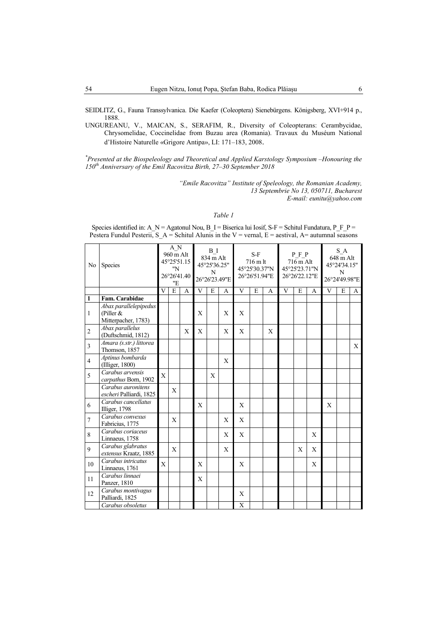SEIDLITZ, G., Fauna Transsylvanica. Die Kaefer (Coleoptera) Sienebürgens. Königsberg, XVI+914 p., 1888.

UNGUREANU, V., MAICAN, S., SERAFIM, R., Diversity of Coleopterans: Cerambycidae, Chrysomelidae, Coccinelidae from Buzau area (Romania). Travaux du Muséum National d'Histoire Naturelle «Grigore Antipa», LI: 171–183, 2008.

*\*Presented at Biospeleology and Theoretical and Applied Karstology Symposium – Honouring the 150th Anniversary of Birth of Emil Racovitza, 27–30 September 2018.*

> *"Emile Racovitza" Institute of Speleology, the Romanian Academy, 13 Septembrie No 13, 050711, Bucharest E-mail: eunitu@yahoo.com*

## *Table 1*

| No             | Species                                                     |              | A N<br>960 m Alt<br>45°25'51.15<br>"N<br>26°26'41.40<br>"Е |   |   | B I<br>834 m Alt<br>45°25'36.25"<br>N<br>26°26'23.49"E |              |              | $S-F$<br>716 m lt<br>45°25'30.37"N<br>26°26'51.94"E |   |   | PFP<br>716 m Alt<br>45°25'23.71"N<br>26°26'22.12"E |   |              | S A<br>648 m Alt<br>45°24'34.15"<br>N<br>26°24'49.98"E |   |  |  |
|----------------|-------------------------------------------------------------|--------------|------------------------------------------------------------|---|---|--------------------------------------------------------|--------------|--------------|-----------------------------------------------------|---|---|----------------------------------------------------|---|--------------|--------------------------------------------------------|---|--|--|
|                |                                                             | V            | $\overline{E}$<br>A                                        |   | V | E                                                      | A            | V<br>E<br>A  |                                                     | V | E | A                                                  | V | E            | A                                                      |   |  |  |
| $\mathbf{1}$   | Fam. Carabidae                                              |              |                                                            |   |   |                                                        |              |              |                                                     |   |   |                                                    |   |              |                                                        |   |  |  |
| 1              | Abax parallelepipedus<br>(Piller $&$<br>Mitterpacher, 1783) |              |                                                            |   | X |                                                        | X            | X            |                                                     |   |   |                                                    |   |              |                                                        |   |  |  |
| $\overline{c}$ | Abax parallelus<br>(Duftschmid, 1812)                       |              |                                                            | X | X |                                                        | $\mathbf{X}$ | X            |                                                     | X |   |                                                    |   |              |                                                        |   |  |  |
| 3              | Amara (s.str.) littorea<br>Thomson, 1857                    |              |                                                            |   |   |                                                        |              |              |                                                     |   |   |                                                    |   |              |                                                        | X |  |  |
| $\overline{4}$ | Aptinus bombarda<br>(Illiger, 1800)                         |              |                                                            |   |   |                                                        | X            |              |                                                     |   |   |                                                    |   |              |                                                        |   |  |  |
| 5              | Carabus arvensis<br>carpathus Born, 1902                    | $\mathbf{X}$ |                                                            |   |   | X                                                      |              |              |                                                     |   |   |                                                    |   |              |                                                        |   |  |  |
|                | Carabus auronitens<br>escheri Palliardi, 1825               |              | X                                                          |   |   |                                                        |              |              |                                                     |   |   |                                                    |   |              |                                                        |   |  |  |
| 6              | Carabus cancellatus<br>Illiger, 1798                        |              |                                                            |   | X |                                                        |              | $\mathbf{X}$ |                                                     |   |   |                                                    |   | $\mathbf{X}$ |                                                        |   |  |  |
| $\overline{7}$ | Carabus convexus<br>Fabricius, 1775                         |              | X                                                          |   |   |                                                        | X            | $\mathbf{X}$ |                                                     |   |   |                                                    |   |              |                                                        |   |  |  |
| $\,$ 8 $\,$    | Carabus coriaceus<br>Linnaeus, 1758                         |              |                                                            |   |   |                                                        | X            | X            |                                                     |   |   |                                                    | X |              |                                                        |   |  |  |
| 9              | Carabus glabratus<br>extensus Kraatz, 1885                  |              | X                                                          |   |   |                                                        | $\mathbf{X}$ |              |                                                     |   |   | X                                                  | X |              |                                                        |   |  |  |
| 10             | Carabus intricatus<br>Linnaeus, 1761                        | X            |                                                            |   | X |                                                        |              | X            |                                                     |   |   |                                                    | X |              |                                                        |   |  |  |
| 11             | Carabus linnaei<br>Panzer, 1810                             |              |                                                            |   | X |                                                        |              |              |                                                     |   |   |                                                    |   |              |                                                        |   |  |  |
| 12             | Carabus montivagus<br>Palliardi, 1825                       |              |                                                            |   |   |                                                        |              | X            |                                                     |   |   |                                                    |   |              |                                                        |   |  |  |
|                | Carabus obsoletus                                           |              |                                                            |   |   |                                                        |              | X            |                                                     |   |   |                                                    |   |              |                                                        |   |  |  |

Species identified in: A\_N = Agatonul Nou, B\_I = Biserica lui Iosif, S-F = Schitul Fundatura, P\_F\_P = Pestera Fundul Pesterii,  $S_A = S$ chitul Alunis in the V = vernal, E = aestival, A= autumnal seasons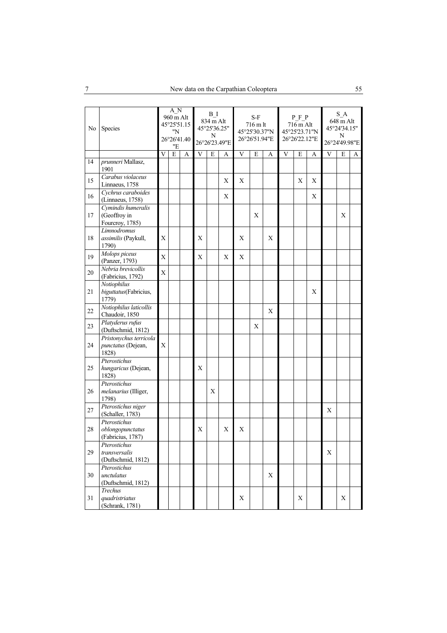| No | Species                                               |                | A N<br>960 m Alt<br>45°25'51.15<br>"N<br>26°26'41.40<br>"Е |   |   | B I<br>834 m Alt<br>45°25'36.25"<br>N | 26°26'23.49"E |   | $S-F$<br>716 m lt<br>45°25'30.37"N<br>26°26'51.94"E |             |  | P F P<br>716 m Alt<br>45°25'23.71"N<br>26°26'22.12"E |   | $S_A$<br>648 m Alt<br>45°24'34.15"<br>N<br>26°24'49.98"E |   |   |  |
|----|-------------------------------------------------------|----------------|------------------------------------------------------------|---|---|---------------------------------------|---------------|---|-----------------------------------------------------|-------------|--|------------------------------------------------------|---|----------------------------------------------------------|---|---|--|
|    |                                                       | V              | E                                                          | A | V | $\mathbf E$<br>A                      |               |   | E<br>V<br>A                                         |             |  | E<br>V<br>A                                          |   |                                                          | E | A |  |
| 14 | prunneri Mallasz,<br>1901                             |                |                                                            |   |   |                                       |               |   |                                                     |             |  |                                                      |   |                                                          |   |   |  |
| 15 | Carabus violaceus<br>Linnaeus, 1758                   |                |                                                            |   |   |                                       | X             | X |                                                     |             |  | X                                                    | X |                                                          |   |   |  |
| 16 | Cychrus caraboides<br>(Linnaeus, 1758)                |                |                                                            |   |   |                                       | X             |   |                                                     |             |  |                                                      | X |                                                          |   |   |  |
| 17 | Cymindis humeralis<br>(Geoffroy in<br>Fourcroy, 1785) |                |                                                            |   |   |                                       |               |   | X                                                   |             |  |                                                      |   |                                                          | X |   |  |
| 18 | Limnodromus<br>assimilis (Paykull,<br>1790)           | X              |                                                            |   | X |                                       |               | X |                                                     | X           |  |                                                      |   |                                                          |   |   |  |
| 19 | Molops piceus<br>(Panzer, 1793)                       | X              |                                                            |   | X |                                       | X             | X |                                                     |             |  |                                                      |   |                                                          |   |   |  |
| 20 | Nebria brevicollis<br>(Fabricius, 1792)               | $\overline{X}$ |                                                            |   |   |                                       |               |   |                                                     |             |  |                                                      |   |                                                          |   |   |  |
| 21 | Notiophilus<br>biguttatus(Fabricius,<br>1779)         |                |                                                            |   |   |                                       |               |   |                                                     |             |  |                                                      | X |                                                          |   |   |  |
| 22 | Notiophilus laticollis<br>Chaudoir, 1850              |                |                                                            |   |   |                                       |               |   |                                                     | X           |  |                                                      |   |                                                          |   |   |  |
| 23 | Platyderus rufus<br>(Duftschmid, 1812)                |                |                                                            |   |   |                                       |               |   | X                                                   |             |  |                                                      |   |                                                          |   |   |  |
| 24 | Pristonychus terricola<br>punctatus (Dejean,<br>1828) | X              |                                                            |   |   |                                       |               |   |                                                     |             |  |                                                      |   |                                                          |   |   |  |
| 25 | Pterostichus<br>hungaricus (Dejean,<br>1828)          |                |                                                            |   | X |                                       |               |   |                                                     |             |  |                                                      |   |                                                          |   |   |  |
| 26 | Pterostichus<br>melanarius (Illiger,<br>1798)         |                |                                                            |   |   | Х                                     |               |   |                                                     |             |  |                                                      |   |                                                          |   |   |  |
| 27 | Pterostichus niger<br>(Schaller, 1783)                |                |                                                            |   |   |                                       |               |   |                                                     |             |  |                                                      |   | X                                                        |   |   |  |
| 28 | Pterostichus<br>oblongopunctatus<br>(Fabricius, 1787) |                |                                                            |   | X |                                       | Х             | X |                                                     |             |  |                                                      |   |                                                          |   |   |  |
| 29 | Pterostichus<br>transversalis<br>(Duftschmid, 1812)   |                |                                                            |   |   |                                       |               |   |                                                     |             |  |                                                      |   | X                                                        |   |   |  |
| 30 | Pterostichus<br>unctulatus<br>(Duftschmid, 1812)      |                |                                                            |   |   |                                       |               |   |                                                     | $\mathbf X$ |  |                                                      |   |                                                          |   |   |  |
| 31 | Trechus<br>quadristriatus<br>(Schrank, 1781)          |                |                                                            |   |   |                                       |               | X |                                                     |             |  | X                                                    |   |                                                          | X |   |  |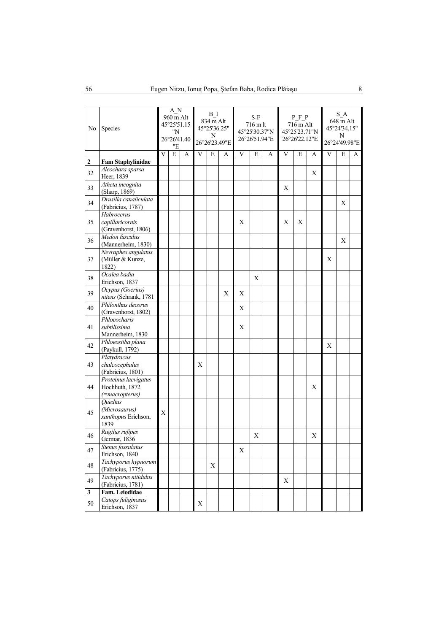| No               | Species                                                  |   | A N<br>960 m Alt<br>45°25'51.15<br>"N<br>26°26'41.40<br>"Е |   |   | B I<br>834 m Alt<br>45°25'36.25"<br>N | 26°26'23.49"E |             | $S-F$<br>716 m lt<br>45°25'30.37"N<br>26°26'51.94"E |  |             | PFP<br>716 m Alt<br>45°25'23.71"N<br>26°26'22.12"E |   | $S_A$<br>648 m Alt<br>45°24'34.15"<br>N<br>26°24'49.98"E |   |   |  |
|------------------|----------------------------------------------------------|---|------------------------------------------------------------|---|---|---------------------------------------|---------------|-------------|-----------------------------------------------------|--|-------------|----------------------------------------------------|---|----------------------------------------------------------|---|---|--|
|                  |                                                          | V | E                                                          | A | V | E                                     | A             | V<br>E<br>A |                                                     |  | V           | E                                                  | A | V                                                        | E | A |  |
| $\boldsymbol{2}$ | <b>Fam Staphylinidae</b>                                 |   |                                                            |   |   |                                       |               |             |                                                     |  |             |                                                    |   |                                                          |   |   |  |
| 32               | Aleochara sparsa<br>Heer, 1839                           |   |                                                            |   |   |                                       |               |             |                                                     |  |             |                                                    | X |                                                          |   |   |  |
| 33               | Atheta incognita<br>(Sharp, 1869)                        |   |                                                            |   |   |                                       |               |             |                                                     |  | X           |                                                    |   |                                                          |   |   |  |
| 34               | Drusilla canaliculata<br>(Fabricius, 1787)               |   |                                                            |   |   |                                       |               |             |                                                     |  |             |                                                    |   |                                                          | X |   |  |
| 35               | Habrocerus<br>capillaricornis<br>(Gravenhorst, 1806)     |   |                                                            |   |   |                                       |               | X           |                                                     |  | X           | Χ                                                  |   |                                                          |   |   |  |
| 36               | Medon fusculus<br>(Mannerheim, 1830)                     |   |                                                            |   |   |                                       |               |             |                                                     |  |             |                                                    |   |                                                          | X |   |  |
| 37               | Nevraphes angulatus<br>(Müller & Kunze,<br>1822)         |   |                                                            |   |   |                                       |               |             |                                                     |  |             |                                                    |   | X                                                        |   |   |  |
| 38               | Ocalea badia<br>Erichson, 1837                           |   |                                                            |   |   |                                       |               |             | X                                                   |  |             |                                                    |   |                                                          |   |   |  |
| 39               | Ocypus (Goerius)<br>nitens (Schrank, 1781                |   |                                                            |   |   |                                       | X             | X           |                                                     |  |             |                                                    |   |                                                          |   |   |  |
| 40               | Philonthus decorus<br>(Gravenhorst, 1802)                |   |                                                            |   |   |                                       |               | X           |                                                     |  |             |                                                    |   |                                                          |   |   |  |
| 41               | Phloeocharis<br>subtilissima<br>Mannerheim, 1830         |   |                                                            |   |   |                                       |               | X           |                                                     |  |             |                                                    |   |                                                          |   |   |  |
| 42               | Phloeostiba plana<br>(Paykull, 1792)                     |   |                                                            |   |   |                                       |               |             |                                                     |  |             |                                                    |   | X                                                        |   |   |  |
| 43               | Platydracus<br>chalcocephalus<br>(Fabricius, 1801)       |   |                                                            |   | X |                                       |               |             |                                                     |  |             |                                                    |   |                                                          |   |   |  |
| 44               | Proteinus laevigatus<br>Hochhuth, 1872<br>(=macropterus) |   |                                                            |   |   |                                       |               |             |                                                     |  |             |                                                    | X |                                                          |   |   |  |
| 45               | Quedius<br>(Microsaurus)<br>xanthopus Erichson,<br>1839  | X |                                                            |   |   |                                       |               |             |                                                     |  |             |                                                    |   |                                                          |   |   |  |
| 46               | Rugilus rufipes<br>Germar, 1836                          |   |                                                            |   |   |                                       |               |             | X                                                   |  |             |                                                    | X |                                                          |   |   |  |
| 47               | Stenus fossulatus<br>Erichson, 1840                      |   |                                                            |   |   |                                       |               | X           |                                                     |  |             |                                                    |   |                                                          |   |   |  |
| 48               | Tachyporus hypnorum<br>(Fabricius, 1775)                 |   |                                                            |   |   | X                                     |               |             |                                                     |  |             |                                                    |   |                                                          |   |   |  |
| 49               | Tachyporus nitidulus<br>(Fabricius, 1781)                |   |                                                            |   |   |                                       |               |             |                                                     |  | $\mathbf X$ |                                                    |   |                                                          |   |   |  |
| 3                | Fam. Leiodidae                                           |   |                                                            |   |   |                                       |               |             |                                                     |  |             |                                                    |   |                                                          |   |   |  |
| 50               | Catops fuliginosus<br>Erichson, 1837                     |   |                                                            |   | X |                                       |               |             |                                                     |  |             |                                                    |   |                                                          |   |   |  |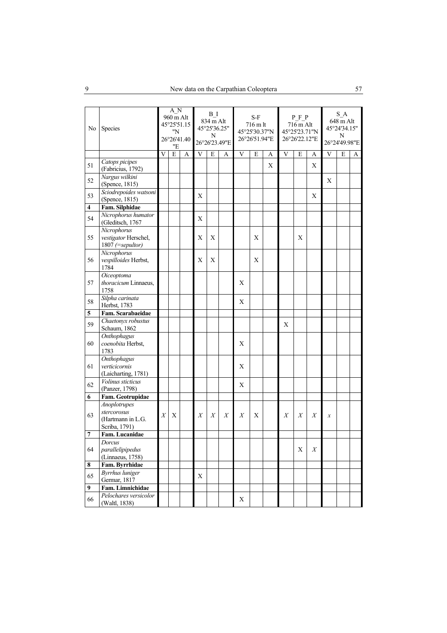| No | Species                                                    |   | A N<br>960 m Alt<br>45°25'51.15<br>"N<br>26°26'41.40<br>"E |   |   | B I<br>834 m Alt<br>45°25'36.25"<br>N<br>26°26'23.49"E |   |   | S-F<br>716 m lt<br>45°25'30.37"N<br>26°26'51.94"E |   |   | $\cal P$ $\cal F$ $\cal P$<br>716 m Alt<br>45°25'23.71"N<br>26°26'22.12"E |                  | S A<br>648 m Alt<br>45°24'34.15"<br>N<br>26°24'49.98"E |   |   |  |
|----|------------------------------------------------------------|---|------------------------------------------------------------|---|---|--------------------------------------------------------|---|---|---------------------------------------------------|---|---|---------------------------------------------------------------------------|------------------|--------------------------------------------------------|---|---|--|
|    |                                                            | V | E                                                          | A | V | E                                                      | A | V | E                                                 | A | V | ${\bf E}$                                                                 | A                | V                                                      | E | A |  |
| 51 | Catops picipes<br>(Fabricius, 1792)                        |   |                                                            |   |   |                                                        |   |   |                                                   | X |   |                                                                           | X                |                                                        |   |   |  |
| 52 | Nargus wilkini<br>(Spence, 1815)                           |   |                                                            |   |   |                                                        |   |   |                                                   |   |   |                                                                           |                  | X                                                      |   |   |  |
| 53 | Sciodrepoides watsoni<br>(Spence, 1815)                    |   |                                                            |   | X |                                                        |   |   |                                                   |   |   |                                                                           | Χ                |                                                        |   |   |  |
| 4  | Fam. Silphidae                                             |   |                                                            |   |   |                                                        |   |   |                                                   |   |   |                                                                           |                  |                                                        |   |   |  |
| 54 | Nicrophorus humator<br>(Gleditsch, 1767                    |   |                                                            |   | X |                                                        |   |   |                                                   |   |   |                                                                           |                  |                                                        |   |   |  |
| 55 | Nicrophorus<br>vestigator Herschel,<br>1807 (=sepultor)    |   |                                                            |   | X | X                                                      |   |   | X                                                 |   |   | X                                                                         |                  |                                                        |   |   |  |
| 56 | Nicrophorus<br>vespilloides Herbst,<br>1784                |   |                                                            |   | X | X                                                      |   |   | X                                                 |   |   |                                                                           |                  |                                                        |   |   |  |
| 57 | Oiceoptoma<br>thoracicum Linnaeus,<br>1758                 |   |                                                            |   |   |                                                        |   | X |                                                   |   |   |                                                                           |                  |                                                        |   |   |  |
| 58 | Silpha carinata<br>Herbst, 1783                            |   |                                                            |   |   |                                                        |   | X |                                                   |   |   |                                                                           |                  |                                                        |   |   |  |
| 5  | Fam. Scarabaeidae                                          |   |                                                            |   |   |                                                        |   |   |                                                   |   |   |                                                                           |                  |                                                        |   |   |  |
| 59 | Chaetonyx robustus<br>Schaum, 1862                         |   |                                                            |   |   |                                                        |   |   |                                                   |   | X |                                                                           |                  |                                                        |   |   |  |
| 60 | Onthophagus<br>coenobita Herbst,<br>1783                   |   |                                                            |   |   |                                                        |   | X |                                                   |   |   |                                                                           |                  |                                                        |   |   |  |
| 61 | <b>Onthophagus</b><br>verticicornis<br>(Laicharting, 1781) |   |                                                            |   |   |                                                        |   | X |                                                   |   |   |                                                                           |                  |                                                        |   |   |  |
| 62 | Volinus sticticus<br>(Panzer, 1798)                        |   |                                                            |   |   |                                                        |   | X |                                                   |   |   |                                                                           |                  |                                                        |   |   |  |
| 6  | Fam. Geotrupidae                                           |   |                                                            |   |   |                                                        |   |   |                                                   |   |   |                                                                           |                  |                                                        |   |   |  |
|    | Anoplotrupes                                               |   |                                                            |   |   |                                                        |   |   |                                                   |   |   |                                                                           |                  |                                                        |   |   |  |
| 63 | stercorosus<br>(Hartmann in L.G.<br>Scriba, 1791)          | X | X                                                          |   | X | X                                                      | X | X | X                                                 |   | X | X                                                                         | X                | $\boldsymbol{x}$                                       |   |   |  |
| 7  | Fam. Lucanidae                                             |   |                                                            |   |   |                                                        |   |   |                                                   |   |   |                                                                           |                  |                                                        |   |   |  |
|    | Dorcus                                                     |   |                                                            |   |   |                                                        |   |   |                                                   |   |   |                                                                           |                  |                                                        |   |   |  |
| 64 | parallelipipedus<br>(Linnaeus, 1758)                       |   |                                                            |   |   |                                                        |   |   |                                                   |   |   | X                                                                         | $\boldsymbol{X}$ |                                                        |   |   |  |
| 8  | Fam. Byrrhidae                                             |   |                                                            |   |   |                                                        |   |   |                                                   |   |   |                                                                           |                  |                                                        |   |   |  |
| 65 | <b>Byrrhus</b> luniger<br>Germar, 1817                     |   |                                                            |   | X |                                                        |   |   |                                                   |   |   |                                                                           |                  |                                                        |   |   |  |
| 9  | Fam. Limnichidae                                           |   |                                                            |   |   |                                                        |   |   |                                                   |   |   |                                                                           |                  |                                                        |   |   |  |
| 66 | Pelochares versicolor<br>(Waltl, 1838)                     |   |                                                            |   |   |                                                        |   | X |                                                   |   |   |                                                                           |                  |                                                        |   |   |  |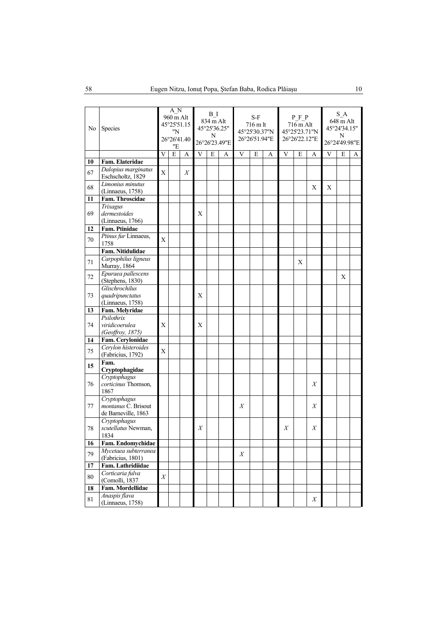| No | Species                                                    |                  | A N<br>960 m Alt<br>45°25'51.15<br>"N<br>26°26'41.40<br>"Е |   |   | B I<br>834 m Alt<br>45°25'36.25"<br>N<br>26°26'23.49"E |  |             | S-F<br>716 m lt<br>45°25'30.37"N<br>26°26'51.94"E |  |   | PFP<br>716 m Alt<br>45°25'23.71"N<br>26°26'22.12"E |                  | S A<br>648 m Alt<br>45°24'34.15"<br>N<br>26°24'49.98"E |   |   |  |
|----|------------------------------------------------------------|------------------|------------------------------------------------------------|---|---|--------------------------------------------------------|--|-------------|---------------------------------------------------|--|---|----------------------------------------------------|------------------|--------------------------------------------------------|---|---|--|
|    |                                                            | V                | E                                                          | A |   | V<br>E<br>А                                            |  | V<br>E<br>A |                                                   |  | V | E                                                  | А                | V                                                      | E | A |  |
| 10 | Fam. Elateridae                                            |                  |                                                            |   |   |                                                        |  |             |                                                   |  |   |                                                    |                  |                                                        |   |   |  |
|    | Dalopius marginatus                                        |                  |                                                            |   |   |                                                        |  |             |                                                   |  |   |                                                    |                  |                                                        |   |   |  |
| 67 | Eschscholtz, 1829                                          | X                |                                                            | X |   |                                                        |  |             |                                                   |  |   |                                                    |                  |                                                        |   |   |  |
| 68 | Limonius minutus<br>(Linnaeus, 1758)                       |                  |                                                            |   |   |                                                        |  |             |                                                   |  |   |                                                    | X                | X                                                      |   |   |  |
| 11 | Fam. Throscidae                                            |                  |                                                            |   |   |                                                        |  |             |                                                   |  |   |                                                    |                  |                                                        |   |   |  |
| 69 | Trixagus<br>dermestoides<br>(Linnaeus, 1766)               |                  |                                                            |   | X |                                                        |  |             |                                                   |  |   |                                                    |                  |                                                        |   |   |  |
| 12 | Fam. Ptinidae                                              |                  |                                                            |   |   |                                                        |  |             |                                                   |  |   |                                                    |                  |                                                        |   |   |  |
| 70 | Ptinus fur Linnaeus,<br>1758                               | X                |                                                            |   |   |                                                        |  |             |                                                   |  |   |                                                    |                  |                                                        |   |   |  |
|    | Fam. Nitidulidae                                           |                  |                                                            |   |   |                                                        |  |             |                                                   |  |   |                                                    |                  |                                                        |   |   |  |
| 71 | Carpophilus ligneus<br>Murray, 1864                        |                  |                                                            |   |   |                                                        |  |             |                                                   |  |   | Χ                                                  |                  |                                                        |   |   |  |
| 72 | Epuraea pallescens<br>(Stephens, 1830)                     |                  |                                                            |   |   |                                                        |  |             |                                                   |  |   |                                                    |                  |                                                        | X |   |  |
|    | Glischrochilus                                             |                  |                                                            |   |   |                                                        |  |             |                                                   |  |   |                                                    |                  |                                                        |   |   |  |
| 73 | quadripunctatus<br>(Linnaeus, 1758)                        |                  |                                                            |   | Χ |                                                        |  |             |                                                   |  |   |                                                    |                  |                                                        |   |   |  |
| 13 | Fam. Melyridae                                             |                  |                                                            |   |   |                                                        |  |             |                                                   |  |   |                                                    |                  |                                                        |   |   |  |
| 74 | Psilothrix<br>viridicoerulea<br>(Geoffroy, 1875)           | X                |                                                            |   | X |                                                        |  |             |                                                   |  |   |                                                    |                  |                                                        |   |   |  |
| 14 | Fam. Cerylonidae                                           |                  |                                                            |   |   |                                                        |  |             |                                                   |  |   |                                                    |                  |                                                        |   |   |  |
|    | Cerylon histeroides                                        |                  |                                                            |   |   |                                                        |  |             |                                                   |  |   |                                                    |                  |                                                        |   |   |  |
| 75 | (Fabricius, 1792)                                          | $\mathbf X$      |                                                            |   |   |                                                        |  |             |                                                   |  |   |                                                    |                  |                                                        |   |   |  |
| 15 | Fam.<br>Cryptophagidae                                     |                  |                                                            |   |   |                                                        |  |             |                                                   |  |   |                                                    |                  |                                                        |   |   |  |
| 76 | Cryptophagus<br>corticinus Thomson,<br>1867                |                  |                                                            |   |   |                                                        |  |             |                                                   |  |   |                                                    | Χ                |                                                        |   |   |  |
| 77 | Cryptophagus<br>montanus C. Brisout<br>de Barneville, 1863 |                  |                                                            |   |   |                                                        |  | X           |                                                   |  |   |                                                    | X                |                                                        |   |   |  |
| 78 | Cryptophagus<br>scutellatus Newman,<br>1834                |                  |                                                            |   | Χ |                                                        |  |             |                                                   |  | Χ |                                                    | Χ                |                                                        |   |   |  |
| 16 | Fam. Endomychidae                                          |                  |                                                            |   |   |                                                        |  |             |                                                   |  |   |                                                    |                  |                                                        |   |   |  |
| 79 | Mycetaea subterranea<br>(Fabricius, 1801)                  |                  |                                                            |   |   |                                                        |  | X           |                                                   |  |   |                                                    |                  |                                                        |   |   |  |
| 17 | Fam. Lathridiidae                                          |                  |                                                            |   |   |                                                        |  |             |                                                   |  |   |                                                    |                  |                                                        |   |   |  |
| 80 | Corticaria fulva<br>(Comolli, 1837)                        | $\boldsymbol{X}$ |                                                            |   |   |                                                        |  |             |                                                   |  |   |                                                    |                  |                                                        |   |   |  |
| 18 | Fam. Mordellidae                                           |                  |                                                            |   |   |                                                        |  |             |                                                   |  |   |                                                    |                  |                                                        |   |   |  |
| 81 | Anaspis flava<br>(Linnaeus, 1758)                          |                  |                                                            |   |   |                                                        |  |             |                                                   |  |   |                                                    | $\boldsymbol{X}$ |                                                        |   |   |  |